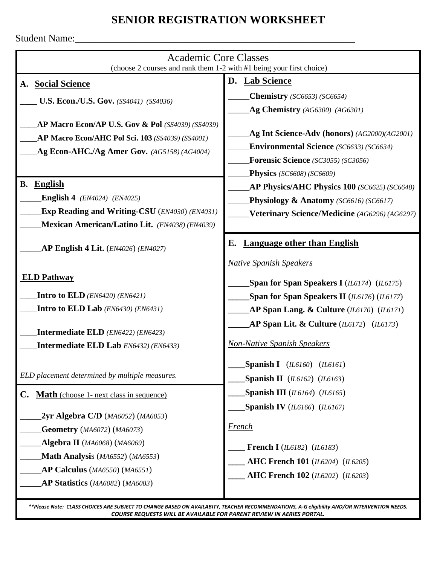## **SENIOR REGISTRATION WORKSHEET**

Student Name:\_\_\_\_\_\_\_\_\_\_\_\_\_\_\_\_\_\_\_\_\_\_\_\_\_\_\_\_\_\_\_\_\_\_\_\_\_\_\_\_\_\_\_\_\_\_\_\_\_\_\_\_\_\_\_\_

| <b>Academic Core Classes</b><br>(choose 2 courses and rank them 1-2 with #1 being your first choice)                                                                                                                                                                                                         |                                                                                                                                                                                                                                                                                                                                                                        |
|--------------------------------------------------------------------------------------------------------------------------------------------------------------------------------------------------------------------------------------------------------------------------------------------------------------|------------------------------------------------------------------------------------------------------------------------------------------------------------------------------------------------------------------------------------------------------------------------------------------------------------------------------------------------------------------------|
| A. Social Science<br><b>U.S. Econ./U.S. Gov.</b> (SS4041) (SS4036)<br>AP Macro Econ/AP U.S. Gov & Pol (SS4039) (SS4039)<br>AP Macro Econ/AHC Pol Sci. 103 (SS4039) (SS4001)<br>Ag Econ-AHC./Ag Amer Gov. $(AG5158) (AG4004)$<br>English<br><b>B.</b><br><b>English 4</b> ( <i>EN4024</i> ) ( <i>EN4025</i> ) | D. Lab Science<br><b>Chemistry</b> (SC6653) (SC6654)<br>Ag Chemistry (AG6300) (AG6301)<br>Ag Int Science-Adv (honors) (AG2000)(AG2001)<br><b>Environmental Science</b> (SC6633) (SC6634)<br><b>Forensic Science</b> (SC3055) (SC3056)<br>Physics (SC6608) (SC6609)<br><b>AP Physics/AHC Physics 100</b> (SC6625) (SC6648)<br>Physiology $\&$ Anatomy (SC6616) (SC6617) |
| <b>Exp Reading and Writing-CSU</b> (EN4030) (EN4031)                                                                                                                                                                                                                                                         | Veterinary Science/Medicine (AG6296) (AG6297)                                                                                                                                                                                                                                                                                                                          |
| Mexican American/Latino Lit. (EN4038) (EN4039)<br>AP English 4 Lit. $(EN4026)$ $(EN4027)$                                                                                                                                                                                                                    | <b>Language other than English</b><br>Е.<br><b>Native Spanish Speakers</b>                                                                                                                                                                                                                                                                                             |
| <b>ELD Pathway</b><br><b>Intro to ELD</b> ( <i>EN6420</i> ) ( <i>EN6421</i> )<br><b>Intro to ELD Lab</b> ( <i>EN6430</i> ) ( <i>EN6431</i> )<br><b>Intermediate ELD</b> ( <i>EN6422</i> ) ( <i>EN6423</i> )<br>Intermediate ELD Lab EN6432) (EN6433)                                                         | Span for Span Speakers I ( $IL6174$ ) ( $IL6175$ )<br>Span for Span Speakers II (IL6176) (IL6177)<br>AP Span Lang. & Culture $(II6170)$ $(II6171)$<br>AP Span Lit. & Culture $(II6172)$ $(II6173)$<br><b>Non-Native Spanish Speakers</b><br>Spanish I $(II6160)$ $(II6161)$                                                                                            |
| ELD placement determined by multiple measures.                                                                                                                                                                                                                                                               | Spanish II $(II6162)$ $(II6163)$                                                                                                                                                                                                                                                                                                                                       |
| Math (choose 1- next class in sequence)<br>$\mathbf{C}$ .<br>$2yr$ Algebra C/D ( $MA6052$ ) ( $MA6053$ )<br><b>Geometry</b> (MA6072) (MA6073)<br><b>Algebra II</b> (MA6068) (MA6069)<br>Math Analysis (MA6552) (MA6553)<br>AP Calculus (MA6550) (MA6551)<br>AP Statistics (MA6082) (MA6083)                  | Spanish III ( $IL6164$ ) ( $IL6165$ )<br>Spanish IV ( $IL6166$ ) ( $IL6167$ )<br><b>French</b><br><b>French I</b> (IL6182) (IL6183)<br><b>AHC French 101</b> (IL6204) (IL6205)<br><b>AHC French 102</b> (IL6202) (IL6203)                                                                                                                                              |

*\*\*Please Note: CLASS CHOICES ARE SUBJECT TO CHANGE BASED ON AVAILABITY, TEACHER RECOMMENDATIONS, A-G eligibility AND/OR INTERVENTION NEEDS. COURSE REQUESTS WILL BE AVAILABLE FOR PARENT REVIEW IN AERIES PORTAL.*